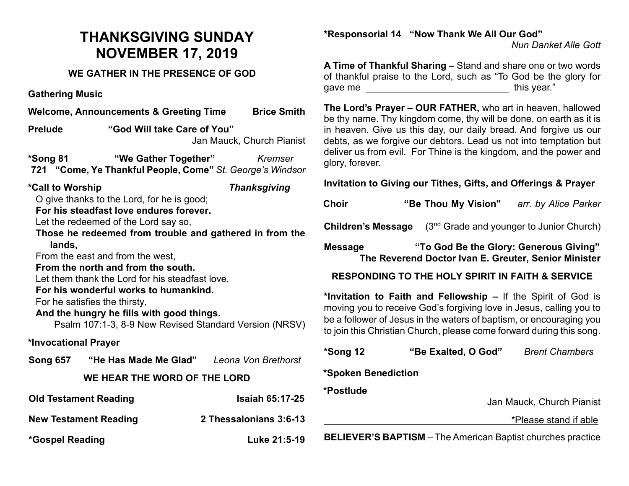## **THANKSGIVING SUNDAY NOVEMBER 17, 2019**

## **WE GATHER IN THE PRESENCE OF GOD**

**Gathering Music**

| Welcome, Announcements & Greeting Time Brice Smith                                                                                                                                                                                                                                                                                                                                                                                                                                                                                                          |                                                                                                  |                        |  |  |
|-------------------------------------------------------------------------------------------------------------------------------------------------------------------------------------------------------------------------------------------------------------------------------------------------------------------------------------------------------------------------------------------------------------------------------------------------------------------------------------------------------------------------------------------------------------|--------------------------------------------------------------------------------------------------|------------------------|--|--|
| <b>Prelude</b>                                                                                                                                                                                                                                                                                                                                                                                                                                                                                                                                              | "God Will take Care of You"<br>Jan Mauck, Church Pianist                                         |                        |  |  |
| *Song 81                                                                                                                                                                                                                                                                                                                                                                                                                                                                                                                                                    | <b>"We Gather Together"</b> Kremser<br>721 "Come, Ye Thankful People, Come" St. George's Windsor |                        |  |  |
| *Call to Worship<br><b>Thanksgiving</b><br>O give thanks to the Lord, for he is good;<br>For his steadfast love endures forever.<br>Let the redeemed of the Lord say so,<br>Those he redeemed from trouble and gathered in from the<br>lands,<br>From the east and from the west,<br>From the north and from the south.<br>Let them thank the Lord for his steadfast love,<br>For his wonderful works to humankind.<br>For he satisfies the thirsty,<br>And the hungry he fills with good things.<br>Psalm 107:1-3, 8-9 New Revised Standard Version (NRSV) |                                                                                                  |                        |  |  |
| *Invocational Prayer                                                                                                                                                                                                                                                                                                                                                                                                                                                                                                                                        |                                                                                                  |                        |  |  |
|                                                                                                                                                                                                                                                                                                                                                                                                                                                                                                                                                             | Song 657 "He Has Made Me Glad" Leona Von Brethorst                                               |                        |  |  |
| WE HEAR THE WORD OF THE LORD                                                                                                                                                                                                                                                                                                                                                                                                                                                                                                                                |                                                                                                  |                        |  |  |
| <b>Old Testament Reading</b>                                                                                                                                                                                                                                                                                                                                                                                                                                                                                                                                |                                                                                                  | <b>Isaiah 65:17-25</b> |  |  |
| <b>New Testament Reading</b>                                                                                                                                                                                                                                                                                                                                                                                                                                                                                                                                |                                                                                                  | 2 Thessalonians 3:6-13 |  |  |

**\*Gospel Reading Luke 21:5-19**

## **\*Responsorial 14 "Now Thank We All Our God"**

*Nun Danket Alle Gott*

**A Time of Thankful Sharing –** Stand and share one or two words of thankful praise to the Lord, such as "To God be the glory for gave me \_\_\_\_\_\_\_\_\_\_\_\_\_\_\_\_\_\_\_\_\_\_\_\_\_\_\_ this year."

**The Lord's Prayer – OUR FATHER,** who art in heaven, hallowed be thy name. Thy kingdom come, thy will be done, on earth as it is in heaven. Give us this day, our daily bread. And forgive us our debts, as we forgive our debtors. Lead us not into temptation but deliver us from evil. For Thine is the kingdom, and the power and glory, forever.

**Invitation to Giving our Tithes, Gifts, and Offerings & Prayer**

| Choir | "Be Thou My Vision" | arr. by Alice Parker |
|-------|---------------------|----------------------|
|       |                     |                      |

**Children's Message** (3<sup>nd</sup> Grade and younger to Junior Church)

**Message "To God Be the Glory: Generous Giving" The Reverend Doctor Ivan E. Greuter, Senior Minister**

## **RESPONDING TO THE HOLY SPIRIT IN FAITH & SERVICE**

**\*Invitation to Faith and Fellowship –** If the Spirit of God is moving you to receive God's forgiving love in Jesus, calling you to be a follower of Jesus in the waters of baptism, or encouraging you to join this Christian Church, please come forward during this song.

| *Song 12            | "Be Exalted, O God" | <b>Brent Chambers</b>     |
|---------------------|---------------------|---------------------------|
| *Spoken Benediction |                     |                           |
| *Postlude           |                     | Jan Mauck, Church Pianist |
|                     |                     | *Please stand if able     |
|                     |                     |                           |

**BELIEVER'S BAPTISM** – The American Baptist churches practice